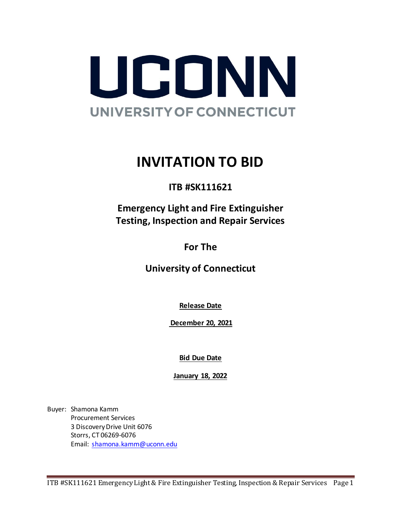

# **INVITATION TO BID**

**ITB #SK111621**

**Emergency Light and Fire Extinguisher Testing, Inspection and Repair Services**

**For The**

**University of Connecticut** 

**Release Date**

**December 20, 2021**

**Bid Due Date**

**January 18, 2022**

Buyer: Shamona Kamm Procurement Services 3 Discovery Drive Unit 6076 Storrs, CT 06269-6076 Email: [shamona.kamm@uconn.edu](mailto:shamona.kamm@uconn.edu)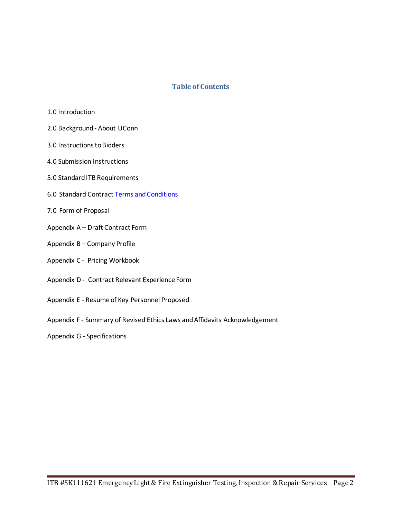### **Table of Contents**

- 1.0 Introduction
- 2.0 Background About UConn
- 3.0 Instructions to Bidders
- 4.0 Submission Instructions
- 5.0 Standard ITB Requirements
- 6.0 [Standard](#page-7-0) Contract Terms and Conditions
- 7.0 [Form of Proposal](#page-10-0)
- Appendix A Draft Contract Form
- Appendix B Company Profile
- Appendix C Pricing Workbook
- Appendix D Contract Relevant Experience Form
- Appendix E Resume of Key Personnel Proposed
- Appendix F Summary of Revised Ethics Laws and Affidavits Acknowledgement
- Appendix G Specifications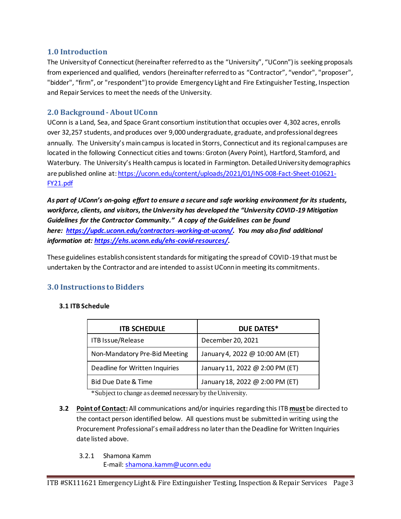# **1.0 Introduction**

The University of Connecticut (hereinafter referred to as the "University", "UConn") is seeking proposals from experienced and qualified, vendors (hereinafter referred to as "Contractor", "vendor", "proposer", "bidder", "firm", or "respondent") to provide Emergency Light and Fire Extinguisher Testing, Inspection and Repair Services to meet the needs of the University.

# **2.0 Background - About UConn**

UConn is a Land, Sea, and Space Grant consortium institution that occupies over 4,302 acres, enrolls over 32,257 students, and produces over 9,000 undergraduate, graduate, and professional degrees annually. The University's main campus is located in Storrs, Connecticut and its regional campuses are located in the following Connecticut cities and towns: Groton (Avery Point), Hartford, Stamford, and Waterbury. The University's Health campus is located in Farmington. Detailed University demographics are published online at: [https://uconn.edu/content/uploads/2021/01/INS-008-Fact-Sheet-010621-](https://uconn.edu/content/uploads/2021/01/INS-008-Fact-Sheet-010621-FY21.pdf) [FY21.pdf](https://uconn.edu/content/uploads/2021/01/INS-008-Fact-Sheet-010621-FY21.pdf)

*As part of UConn's on-going effort to ensure a secure and safe working environment for its students, workforce, clients, and visitors, the University has developed the "University COVID-19 Mitigation Guidelines for the Contractor Community." A copy of the Guidelines can be found here: [https://updc.uconn.edu/contractors-working-at-uconn/.](https://nam10.safelinks.protection.outlook.com/?url=https%3A%2F%2Fupdc.uconn.edu%2Fcontractors-working-at-uconn%2F&data=02%7C01%7Ckathleen.susca%40uconn.edu%7C01da1a1750844032a92608d855aac661%7C17f1a87e2a254eaab9df9d439034b080%7C0%7C0%7C637353539244712358&sdata=8FS9zt6B8TvZR%2FgrECLcqnuzYMGT7rFzigeD0Bzh2Zo%3D&reserved=0) You may also find additional information at: [https://ehs.uconn.edu/ehs-covid-resources/](https://nam10.safelinks.protection.outlook.com/?url=https%3A%2F%2Fehs.uconn.edu%2Fehs-covid-resources%2F&data=02%7C01%7Ckathleen.susca%40uconn.edu%7C01da1a1750844032a92608d855aac661%7C17f1a87e2a254eaab9df9d439034b080%7C0%7C0%7C637353539244722352&sdata=MM%2FVoxY5mfpQCBrFmKUWN1bBkqKPThxeySNun%2FLEZdk%3D&reserved=0).*

These guidelines establish consistent standards for mitigating the spread of COVID-19 that must be undertaken by the Contractor and are intended to assist UConn in meeting its commitments.

# **3.0 Instructions to Bidders**

### **3.1 ITB Schedule**

| <b>ITB SCHEDULE</b>            | <b>DUE DATES*</b>               |
|--------------------------------|---------------------------------|
| ITB Issue/Release              | December 20, 2021               |
| Non-Mandatory Pre-Bid Meeting  | January 4, 2022 @ 10:00 AM (ET) |
| Deadline for Written Inquiries | January 11, 2022 @ 2:00 PM (ET) |
| Bid Due Date & Time            | January 18, 2022 @ 2:00 PM (ET) |

\*Subject to change as deemed necessary by the University.

- **3.2 Point of Contact:** All communications and/or inquiries regarding this ITB **must** be directed to the contact person identified below. All questions must be submitted in writing using the Procurement Professional's email address no later than the Deadline for Written Inquiries date listed above.
	- 3.2.1 Shamona Kamm

E-mail: [shamona.kamm@uconn.edu](mailto:shamona.kamm@uconn.edu)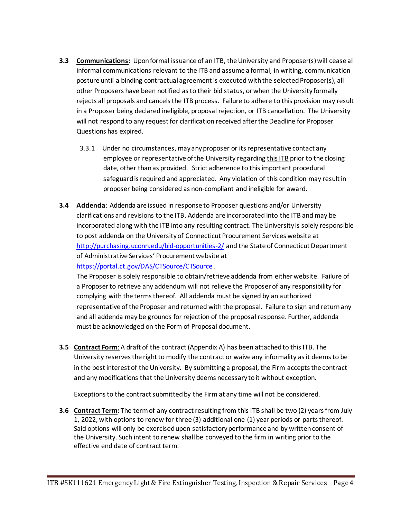- **3.3 Communications:** Upon formal issuance of an ITB, the University and Proposer(s) will cease all informal communications relevant to the ITB and assume a formal, in writing, communication posture until a binding contractual agreement is executed with the selected Proposer(s), all other Proposers have been notified as to their bid status, or when the University formally rejects all proposals and cancels the ITB process. Failure to adhere to this provision may result in a Proposer being declared ineligible, proposal rejection, or ITB cancellation. The University will not respond to any request for clarification received after the Deadline for Proposer Questions has expired.
	- 3.3.1 Under no circumstances, may any proposer or its representative contact any employee or representative of the University regarding this ITB prior to the closing date, other than as provided. Strict adherence to this important procedural safeguard is required and appreciated. Any violation of this condition may result in proposer being considered as non-compliant and ineligible for award.
- **3.4 Addenda**: Addenda are issued in response to Proposer questions and/or University clarifications and revisions to the ITB. Addenda are incorporated into the ITB and may be incorporated along with the ITB into any resulting contract. The University is solely responsible to post addenda on the University of Connecticut Procurement Services website at <http://purchasing.uconn.edu/bid-opportunities-2/> and the State of Connecticut Department of Administrative Services' Procurement website at

### <https://portal.ct.gov/DAS/CTSource/CTSource> .

The Proposer is solely responsible to obtain/retrieve addenda from either website. Failure of a Proposer to retrieve any addendum will not relieve the Proposer of any responsibility for complying with the terms thereof. All addenda must be signed by an authorized representative of the Proposer and returned with the proposal. Failure to sign and return any and all addenda may be grounds for rejection of the proposal response. Further, addenda must be acknowledged on the Form of Proposal document.

**3.5 Contract Form**: A draft of the contract (Appendix A) has been attached to this ITB. The University reserves the right to modify the contract or waive any informality as it deems to be in the best interest of the University. By submitting a proposal, the Firm accepts the contract and any modifications that the University deems necessary to it without exception.

Exceptions to the contract submitted by the Firm at any time will not be considered.

**3.6 Contract Term:** The term of any contract resulting from this ITB shall be two (2) years from July 1, 2022, with options to renew for three (3) additional one (1) year periods or parts thereof. Said options will only be exercised upon satisfactory performance and by written consent of the University. Such intent to renew shall be conveyed to the firm in writing prior to the effective end date of contract term.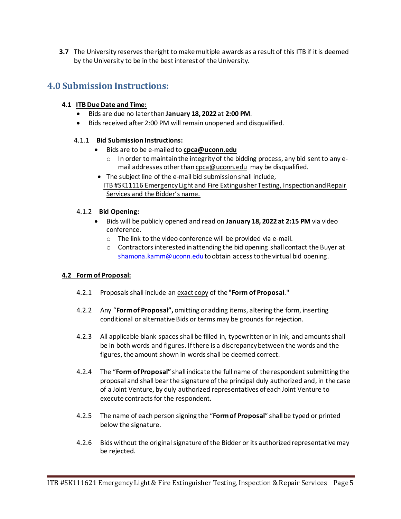**3.7** The University reserves the right to make multiple awards as a result of this ITB if it is deemed by the University to be in the best interest of the University.

# **4.0 Submission Instructions:**

### **4.1 ITBDue Date and Time:**

- Bids are due no later than **January 18, 2022** at **2:00 PM**.
- Bids received after 2:00 PM will remain unopened and disqualified.

# 4.1.1 **Bid Submission Instructions:**

- Bids are to be e-mailed to **[cpca@uconn.edu](mailto:cpca@uconn.edu)**
	- o In order to maintain the integrity of the bidding process, any bid sent to any email addresses other tha[n cpca@uconn.edu](mailto:cpca@uconn.edu) may be disqualified.
- The subject line of the e-mail bid submission shall include, ITB #SK11116 Emergency Light and Fire Extinguisher Testing, Inspection and Repair Services and the Bidder's name.

# 4.1.2 **Bid Opening:**

- Bids will be publicly opened and read on **January 18, 2022 at 2:15 PM** via video conference.
	- o The link to the video conference will be provided via e-mail.
	- $\circ$  Contractors interested in attending the bid opening shall contact the Buyer at [shamona.kamm@uconn.edu](mailto:shamona.kamm@uconn.edu) to obtain access to the virtual bid opening.

# **4.2 Form of Proposal:**

- 4.2.1 Proposals shall include an exact copy of the "**Form of Proposal**."
- 4.2.2 Any "**Form of Proposal",** omitting or adding items, altering the form, inserting conditional or alternative Bids or terms may be grounds for rejection.
- 4.2.3 All applicable blank spaces shall be filled in, typewritten or in ink, and amounts shall be in both words and figures. If there is a discrepancy between the words and the figures, the amount shown in words shall be deemed correct.
- 4.2.4 The "**Form of Proposal"** shall indicate the full name of the respondent submitting the proposal and shall bear the signature of the principal duly authorized and, in the case of a Joint Venture, by duly authorized representatives of each Joint Venture to execute contracts for the respondent.
- 4.2.5 The name of each person signing the "**Form of Proposal**" shall be typed or printed below the signature.
- 4.2.6 Bids without the original signature of the Bidder or its authorized representative may be rejected.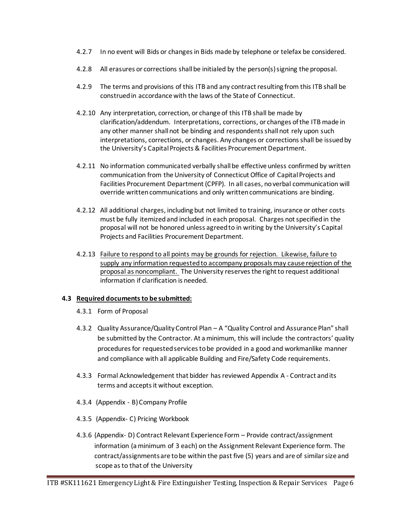- 4.2.7 In no event will Bids or changes in Bids made by telephone or telefax be considered.
- 4.2.8 All erasures or corrections shall be initialed by the person(s) signing the proposal.
- 4.2.9 The terms and provisions of this ITB and any contract resulting from this ITB shall be construed in accordance with the laws of the State of Connecticut.
- 4.2.10 Any interpretation, correction, or change of this ITB shall be made by clarification/addendum. Interpretations, corrections, or changes of the ITB made in any other manner shall not be binding and respondents shall not rely upon such interpretations, corrections, or changes. Any changes or corrections shall be issued by the University's Capital Projects & Facilities Procurement Department.
- 4.2.11 No information communicated verbally shall be effective unless confirmed by written communication from the University of Connecticut Office of Capital Projects and Facilities Procurement Department (CPFP). In all cases, no verbal communication will override written communications and only written communications are binding.
- 4.2.12 All additional charges, including but not limited to training, insurance or other costs must be fully itemized and included in each proposal. Charges not specified in the proposal will not be honored unless agreed to in writing by the University's Capital Projects and Facilities Procurement Department.
- 4.2.13 Failure to respond to all points may be grounds for rejection. Likewise, failure to supply any information requested to accompany proposals may cause rejection of the proposal as noncompliant. The University reserves the right to request additional information if clarification is needed.

### **4.3 Required documentsto be submitted:**

- 4.3.1 Form of Proposal
- 4.3.2 Quality Assurance/Quality Control Plan A "Quality Control and Assurance Plan" shall be submitted by the Contractor. At a minimum, this will include the contractors' quality procedures for requested services to be provided in a good and workmanlike manner and compliance with all applicable Building and Fire/Safety Code requirements.
- 4.3.3 Formal Acknowledgement that bidder has reviewed Appendix A Contract and its terms and accepts it without exception.
- 4.3.4 (Appendix B) Company Profile
- 4.3.5 (Appendix- C) Pricing Workbook
- 4.3.6 (Appendix- D) Contract Relevant Experience Form Provide contract/assignment information (a minimum of 3 each) on the Assignment Relevant Experience form. The contract/assignmentsare to be within the past five (5) years and are of similar size and scope as to that of the University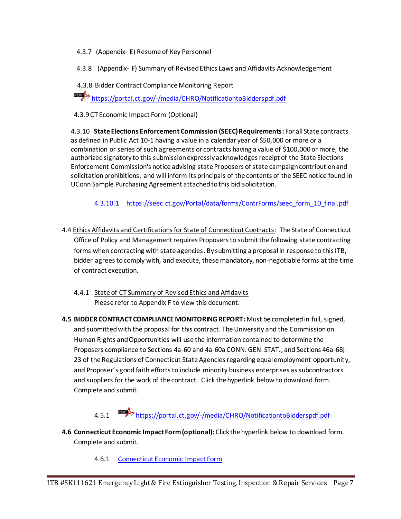4.3.7 (Appendix- E) Resume of Key Personnel

4.3.8 (Appendix- F) Summary of Revised Ethics Laws and Affidavits Acknowledgement

4.3.8 Bidder Contract Compliance Monitoring Report

<https://portal.ct.gov/-/media/CHRO/NotificationtoBidderspdf.pdf>

4.3.9 CT Economic Impact Form (Optional)

4.3.10 **State Elections Enforcement Commission (SEEC) Requirements:** For all State contracts as defined in Public Act 10-1 having a value in a calendar year of \$50,000 or more or a combination or series of such agreements or contracts having a value of \$100,000 or more, the authorized signatory to this submission expressly acknowledges receipt of the State Elections Enforcement Commission's notice advising state Proposers of state campaign contribution and solicitation prohibitions, and will inform its principals of the contents of the SEEC notice found in UConn Sample Purchasing Agreement attached to this bid solicitation.

4.3.10.1 [https://seec.ct.gov/Portal/data/forms/ContrForms/seec\\_form\\_10\\_final.pdf](https://seec.ct.gov/Portal/data/forms/ContrForms/seec_form_10_final.pdf)

- 4.4 Ethics Affidavits and Certifications for State of Connecticut Contracts: The State of Connecticut Office of Policy and Management requires Proposers to submit the following state contracting forms when contracting with state agencies. By submitting a proposal in response to this ITB, bidder agrees to comply with, and execute, these mandatory, non-negotiable forms at the time of contract execution.
	- 4.4.1 State of CT Summary of Revised Ethics and Affidavits Please refer to Appendix F to view this document.
- **4.5 BIDDER CONTRACT COMPLIANCE MONITORING REPORT:** Must be completed in full, signed, and submitted with the proposal for this contract. The University and the Commission on Human Rights and Opportunities will use the information contained to determine the Proposers compliance to Sections 4a-60 and 4a-60a CONN. GEN. STAT., and Sections 46a-68j-23 of the Regulations of Connecticut State Agencies regarding equal employment opportunity, and Proposer's good faith efforts to include minority business enterprises as subcontractors and suppliers for the work of the contract. Click the hyperlink below to download form. Complete and submit.
	- 4.5.1 <https://portal.ct.gov/-/media/CHRO/NotificationtoBidderspdf.pdf>
- **4.6 Connecticut Economic Impact Form(optional):** Click the hyperlink below to download form. Complete and submit.
	- 4.6.1 [Connecticut Economic Impact Form](http://www.biznet.ct.gov/SCP_Documents/Groups/1/Connecticut%20Economic%20Impact%20Form%20(DAS-46).pdf)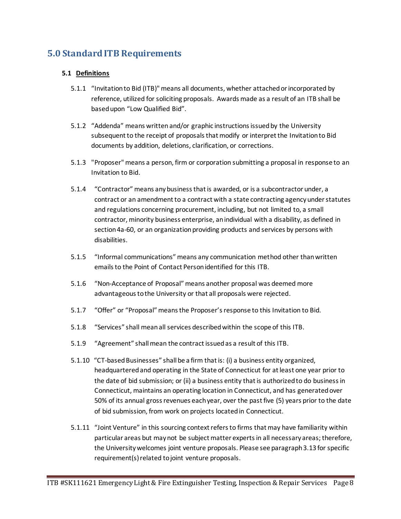# <span id="page-7-0"></span>**5.0 Standard ITB Requirements**

# **5.1 Definitions**

- 5.1.1 "Invitation to Bid (ITB)" means all documents, whether attached or incorporated by reference, utilized for soliciting proposals. Awards made as a result of an ITB shall be based upon "Low Qualified Bid".
- 5.1.2 "Addenda" means written and/or graphic instructions issued by the University subsequent to the receipt of proposals that modify or interpret the Invitation to Bid documents by addition, deletions, clarification, or corrections.
- 5.1.3 "Proposer" means a person, firm or corporation submitting a proposal in response to an Invitation to Bid.
- 5.1.4 "Contractor" means any business that is awarded, or is a subcontractor under, a contract or an amendment to a contract with a state contracting agency under statutes and regulations concerning procurement, including, but not limited to, a small contractor, minority business enterprise, an individual with a disability, as defined in section 4a-60, or an organization providing products and services by persons with disabilities.
- 5.1.5 "Informal communications" means any communication method other than written emails to the Point of Contact Person identified for this ITB.
- 5.1.6 "Non-Acceptance of Proposal" means another proposal was deemed more advantageous to the University or that all proposals were rejected.
- 5.1.7 "Offer" or "Proposal" means the Proposer's response to this Invitation to Bid.
- 5.1.8 "Services" shall mean all services described within the scope of this ITB.
- 5.1.9 "Agreement" shall mean the contract issued as a result of this ITB.
- 5.1.10"CT-based Businesses" shall be a firm that is: (i) a business entity organized, headquartered and operating in the State of Connecticut for at least one year prior to the date of bid submission; or (ii) a business entity that is authorized to do business in Connecticut, maintains an operating location in Connecticut, and has generated over 50% of its annual gross revenues each year, over the past five (5) years prior to the date of bid submission, from work on projects located in Connecticut.
- 5.1.11 "Joint Venture" in this sourcing context refers to firms that may have familiarity within particular areas but may not be subject matter experts in all necessary areas; therefore, the University welcomes joint venture proposals. Please see paragraph 3.13 for specific requirement(s) related to joint venture proposals.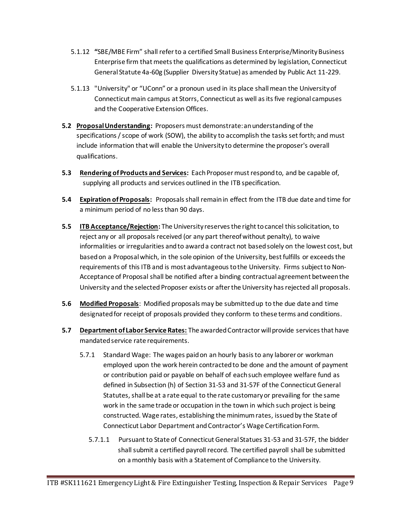- 5.1.12 **"**SBE/MBE Firm" shall refer to a certified Small Business Enterprise/Minority Business Enterprise firm that meets the qualifications as determined by legislation, Connecticut General Statute 4a-60g (Supplier Diversity Statue) as amended by Public Act 11-229.
- 5.1.13 "University" or "UConn" or a pronoun used in its place shall mean the University of Connecticut main campus at Storrs, Connecticut as well as its five regional campuses and the Cooperative Extension Offices.
- **5.2 Proposal Understanding:** Proposers must demonstrate: an understanding of the specifications / scope of work (SOW), the ability to accomplish the tasks set forth; and must include information that will enable the University to determine the proposer's overall qualifications.
- **5.3 Rendering of Products and Services:** Each Proposer must respond to, and be capable of, supplying all products and services outlined in the ITB specification.
- **5.4 Expiration of Proposals:** Proposals shall remain in effect from the ITB due date and time for a minimum period of no less than 90 days.
- **5.5 ITB Acceptance/Rejection:** The University reserves the right to cancel this solicitation, to reject any or all proposals received (or any part thereof without penalty), to waive informalities or irregularities and to award a contract not based solely on the lowest cost, but based on a Proposal which, in the sole opinion of the University, best fulfills or exceeds the requirements of this ITB and is most advantageous to the University. Firms subject to Non-Acceptance of Proposal shall be notified after a binding contractual agreement between the University and the selected Proposer exists or after the University has rejected all proposals.
- **5.6 Modified Proposals**: Modified proposals may be submitted up to the due date and time designated for receipt of proposals provided they conform to these terms and conditions.
- **5.7 Department of Labor Service Rates:** The awarded Contractor will provide services that have mandated service rate requirements.
	- 5.7.1 Standard Wage: The wages paid on an hourly basis to any laborer or workman employed upon the work herein contracted to be done and the amount of payment or contribution paid or payable on behalf of each such employee welfare fund as defined in Subsection (h) of Section 31-53 and 31-57F of the Connecticut General Statutes, shall be at a rate equal to the rate customary or prevailing for the same work in the same trade or occupation in the town in which such project is being constructed. Wage rates, establishing the minimum rates, issued by the State of Connecticut Labor Department and Contractor's Wage Certification Form.
		- 5.7.1.1 Pursuant to State of Connecticut General Statues 31-53 and 31-57F, the bidder shall submit a certified payroll record. The certified payroll shall be submitted on a monthly basis with a Statement of Compliance to the University.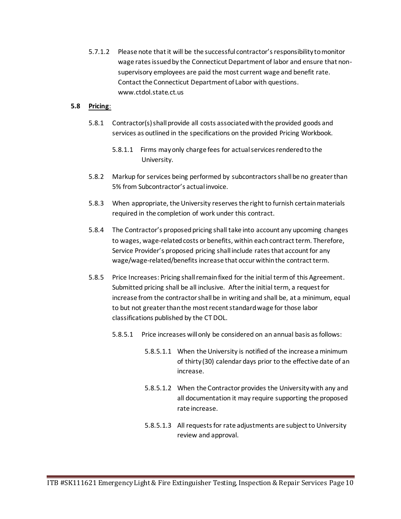5.7.1.2 Please note that it will be the successful contractor's responsibility to monitor wage rates issued by the Connecticut Department of labor and ensure that nonsupervisory employees are paid the most current wage and benefit rate. Contact the Connecticut Department of Labor with questions. [www.ctdol.state.ct.us](http://www.ctdol.state.ct.us/)

### **5.8 Pricing**:

- 5.8.1 Contractor(s) shall provide all costs associated with the provided goods and services as outlined in the specifications on the provided Pricing Workbook.
	- 5.8.1.1 Firms may only charge fees for actual services rendered to the University.
- 5.8.2 Markup for services being performed by subcontractors shall be no greater than 5% from Subcontractor's actual invoice.
- 5.8.3 When appropriate, the University reserves the right to furnish certain materials required in the completion of work under this contract.
- 5.8.4 The Contractor's proposed pricing shall take into account any upcoming changes to wages, wage-related costs or benefits, within each contract term. Therefore, Service Provider's proposed pricing shall include rates that account for any wage/wage-related/benefits increase that occur within the contract term.
- 5.8.5 Price Increases: Pricing shall remain fixed for the initial term of this Agreement. Submitted pricing shall be all inclusive. After the initial term, a request for increase from the contractor shall be in writing and shall be, at a minimum, equal to but not greater than the most recent standard wage for those labor classifications published by the CT DOL.
	- 5.8.5.1 Price increases will only be considered on an annual basis as follows:
		- 5.8.5.1.1 When the University is notified of the increase a minimum of thirty (30) calendar days prior to the effective date of an increase.
		- 5.8.5.1.2 When the Contractor provides the University with any and all documentation it may require supporting the proposed rate increase.
		- 5.8.5.1.3 All requests for rate adjustments are subject to University review and approval.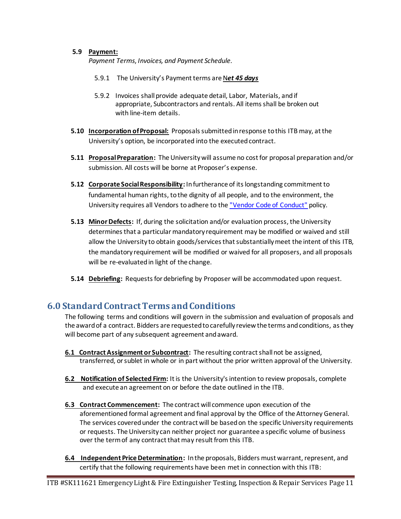### **5.9 Payment:**

*Payment Terms*, *Invoices, and Payment Schedule.* 

- 5.9.1 The University's Payment terms are Net 45 days
- 5.9.2 Invoices shall provide adequate detail, Labor, Materials, and if appropriate, Subcontractors and rentals. All items shall be broken out with line-item details.
- **5.10 Incorporation of Proposal:** Proposals submitted in response to this ITB may, at the University's option, be incorporated into the executed contract.
- **5.11 Proposal Preparation:** The University will assume no cost for proposal preparation and/or submission. All costs will be borne at Proposer's expense.
- **5.12 Corporate Social Responsibility:** In furtherance of its longstanding commitment to fundamental human rights, to the dignity of all people, and to the environment, the University requires all Vendors to adhere to th[e "Vendor Code of Conduct"](http://policy.uconn.edu/?p=2718) policy.
- **5.13 Minor Defects:** If, during the solicitation and/or evaluation process, the University determines that a particular mandatory requirement may be modified or waived and still allow the University to obtain goods/services that substantially meet the intent of this ITB, the mandatory requirement will be modified or waived for all proposers, and all proposals will be re-evaluated in light of the change.
- **5.14 Debriefing:** Requests for debriefing by Proposer will be accommodated upon request.

# <span id="page-10-0"></span>**6.0 StandardContract Terms and Conditions**

The following terms and conditions will govern in the submission and evaluation of proposals and the award of a contract. Bidders are requested to carefully review the terms and conditions, as they will become part of any subsequent agreement and award.

- **6.1 Contract Assignment or Subcontract:** The resulting contract shall not be assigned, transferred, or sublet in whole or in part without the prior written approval of the University.
- **6.2 Notification of Selected Firm:** It is the University's intention to review proposals, complete and execute an agreement on or before the date outlined in the ITB.
- **6.3 Contract Commencement:** The contract will commence upon execution of the aforementioned formal agreement and final approval by the Office of the Attorney General. The services covered under the contract will be based on the specific University requirements or requests. The University can neither project nor guarantee a specific volume of business over the term of any contract that may result from this ITB.
- **6.4 Independent Price Determination:** In the proposals, Bidders must warrant, represent, and certify that the following requirements have been met in connection with this ITB: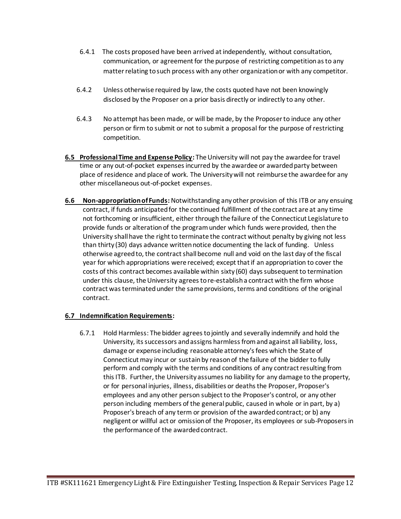- 6.4.1 The costs proposed have been arrived at independently, without consultation, communication, or agreement for the purpose of restricting competition as to any matter relating to such process with any other organization or with any competitor.
- 6.4.2 Unless otherwise required by law, the costs quoted have not been knowingly disclosed by the Proposer on a prior basis directly or indirectly to any other.
- 6.4.3 No attempt has been made, or will be made, by the Proposer to induce any other person or firm to submit or not to submit a proposal for the purpose of restricting competition.
- **6.5 Professional Time and Expense Policy:** The University will not pay the awardee for travel time or any out-of-pocket expenses incurred by the awardee or awarded party between place of residence and place of work. The University will not reimburse the awardee for any other miscellaneous out-of-pocket expenses.
- **6.6 Non-appropriation of Funds:** Notwithstanding any other provision of this ITB or any ensuing contract, if funds anticipated for the continued fulfillment of the contract are at any time not forthcoming or insufficient, either through the failure of the Connecticut Legislature to provide funds or alteration of the program under which funds were provided, then the University shall have the right to terminate the contract without penalty by giving not less than thirty (30) days advance written notice documenting the lack of funding. Unless otherwise agreed to, the contract shall become null and void on the last day of the fiscal year for which appropriations were received; except that if an appropriation to cover the costs of this contract becomes available within sixty (60) days subsequent to termination under this clause, the University agrees to re-establish a contract with the firm whose contract was terminated under the same provisions, terms and conditions of the original contract.

### **6.7 Indemnification Requirements:**

6.7.1 Hold Harmless: The bidder agrees to jointly and severally indemnify and hold the University, its successors and assigns harmless from and against all liability, loss, damage or expense including reasonable attorney's fees which the State of Connecticut may incur or sustain by reason of the failure of the bidder to fully perform and comply with the terms and conditions of any contract resulting from this ITB. Further, the University assumes no liability for any damage to the property, or for personal injuries, illness, disabilities or deaths the Proposer, Proposer's employees and any other person subject to the Proposer's control, or any other person including members of the general public, caused in whole or in part, by a) Proposer's breach of any term or provision of the awarded contract; or b) any negligent or willful act or omission of the Proposer, its employees or sub-Proposers in the performance of the awarded contract.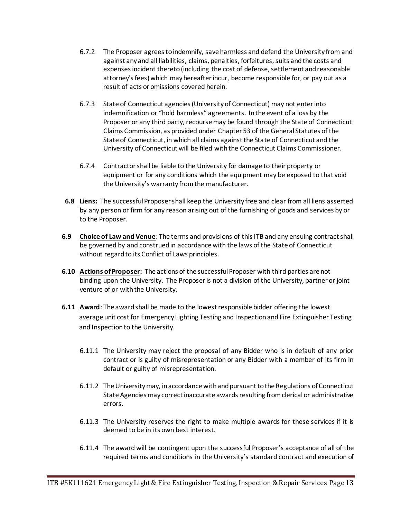- 6.7.2 The Proposer agrees to indemnify, save harmless and defend the University from and against any and all liabilities, claims, penalties, forfeitures, suits and the costs and expenses incident thereto (including the cost of defense, settlement and reasonable attorney's fees) which may hereafter incur, become responsible for, or pay out as a result of acts or omissions covered herein.
- 6.7.3 State of Connecticut agencies (University of Connecticut) may not enter into indemnification or "hold harmless" agreements. In the event of a loss by the Proposer or any third party, recourse may be found through the State of Connecticut Claims Commission, as provided under Chapter 53 of the General Statutes of the State of Connecticut, in which all claims against the State of Connecticut and the University of Connecticut will be filed with the Connecticut Claims Commissioner.
- 6.7.4 Contractor shall be liable to the University for damage to their property or equipment or for any conditions which the equipment may be exposed to that void the University's warranty from the manufacturer.
- **6.8 Liens:** The successful Proposer shall keep the University free and clear from all liens asserted by any person or firm for any reason arising out of the furnishing of goods and services by or to the Proposer.
- **6.9 Choice of Law and Venue**: The terms and provisions of this ITB and any ensuing contract shall be governed by and construed in accordance with the laws of the State of Connecticut without regard to its Conflict of Laws principles.
- **6.10 Actions of Proposer:** The actions of the successful Proposer with third parties are not binding upon the University. The Proposer is not a division of the University, partner or joint venture of or with the University.
- **6.11 Award**: The award shall be made to the lowest responsible bidder offering the lowest average unit cost for Emergency Lighting Testing and Inspection and Fire Extinguisher Testing and Inspection to the University.
	- 6.11.1 The University may reject the proposal of any Bidder who is in default of any prior contract or is guilty of misrepresentation or any Bidder with a member of its firm in default or guilty of misrepresentation.
	- 6.11.2 The University may, in accordance with and pursuant to the Regulations of Connecticut State Agencies may correct inaccurate awards resulting from clerical or administrative errors.
	- 6.11.3 The University reserves the right to make multiple awards for these services if it is deemed to be in its own best interest.
	- 6.11.4 The award will be contingent upon the successful Proposer's acceptance of all of the required terms and conditions in the University's standard contract and execution of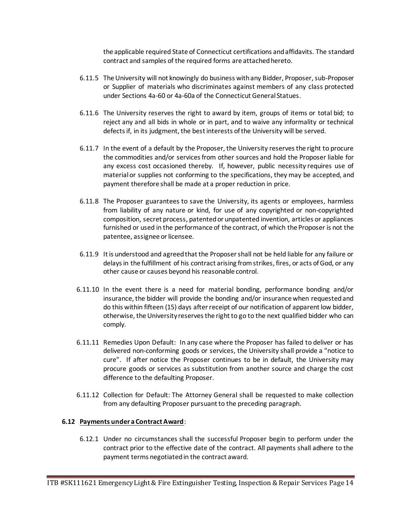the applicable required State of Connecticut certifications and affidavits. The standard contract and samples of the required forms are attached hereto.

- 6.11.5 The University will not knowingly do business with any Bidder, Proposer, sub-Proposer or Supplier of materials who discriminates against members of any class protected under Sections 4a-60 or 4a-60a of the Connecticut General Statues.
- 6.11.6 The University reserves the right to award by item, groups of items or total bid; to reject any and all bids in whole or in part, and to waive any informality or technical defects if, in its judgment, the best interests of the University will be served.
- 6.11.7 In the event of a default by the Proposer, the University reserves the right to procure the commodities and/or services from other sources and hold the Proposer liable for any excess cost occasioned thereby. If, however, public necessity requires use of material or supplies not conforming to the specifications, they may be accepted, and payment therefore shall be made at a proper reduction in price.
- 6.11.8 The Proposer guarantees to save the University, its agents or employees, harmless from liability of any nature or kind, for use of any copyrighted or non-copyrighted composition, secret process, patented or unpatented invention, articles or appliances furnished or used in the performance of the contract, of which the Proposer is not the patentee, assignee or licensee.
- 6.11.9 It is understood and agreed that the Proposer shall not be held liable for any failure or delays in the fulfillment of his contract arising from strikes, fires, or acts of God, or any other cause or causes beyond his reasonable control.
- 6.11.10 In the event there is a need for material bonding, performance bonding and/or insurance, the bidder will provide the bonding and/or insurance when requested and do this within fifteen (15) days after receipt of our notification of apparent low bidder, otherwise, the University reserves the right to go to the next qualified bidder who can comply.
- 6.11.11 Remedies Upon Default: In any case where the Proposer has failed to deliver or has delivered non-conforming goods or services, the University shall provide a "notice to cure". If after notice the Proposer continues to be in default, the University may procure goods or services as substitution from another source and charge the cost difference to the defaulting Proposer.
- 6.11.12 Collection for Default: The Attorney General shall be requested to make collection from any defaulting Proposer pursuant to the preceding paragraph.

### **6.12 Payments under a Contract Award**:

6.12.1 Under no circumstances shall the successful Proposer begin to perform under the contract prior to the effective date of the contract. All payments shall adhere to the payment terms negotiated in the contract award.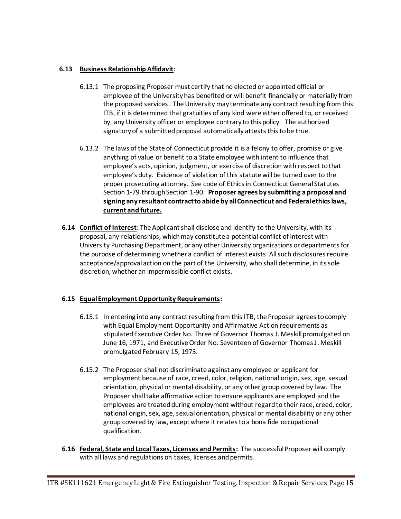### **6.13 Business Relationship Affidavit**:

- 6.13.1 The proposing Proposer must certify that no elected or appointed official or employee of the University has benefited or will benefit financially or materially from the proposed services. The University may terminate any contract resulting from this ITB, if it is determined that gratuities of any kind were either offered to, or received by, any University officer or employee contrary to this policy. The authorized signatory of a submitted proposal automatically attests this to be true.
- 6.13.2 The laws of the State of Connecticut provide it is a felony to offer, promise or give anything of value or benefit to a State employee with intent to influence that employee's acts, opinion, judgment, or exercise of discretion with respect to that employee's duty. Evidence of violation of this statute will be turned over to the proper prosecuting attorney. See code of Ethics in Connecticut General Statutes Section 1-79 through Section 1-90. **Proposer agrees by submitting a proposal and signing any resultant contract to abide by all Connecticut and Federal ethics laws, current and future.**
- **6.14 Conflict of Interest:** The Applicant shall disclose and identify to the University, with its proposal, any relationships, which may constitute a potential conflict of interest with University Purchasing Department, or any other University organizations or departments for the purpose of determining whether a conflict of interest exists. All such disclosures require acceptance/approval action on the part of the University, who shall determine, in its sole discretion, whether an impermissible conflict exists.

# **6.15 Equal Employment Opportunity Requirements:**

- 6.15.1 In entering into any contract resulting from this ITB, the Proposer agrees to comply with Equal Employment Opportunity and Affirmative Action requirements as stipulated Executive Order No. Three of Governor Thomas J. Meskill promulgated on June 16, 1971, and Executive Order No. Seventeen of Governor Thomas J. Meskill promulgated February 15, 1973.
- 6.15.2 The Proposer shall not discriminate against any employee or applicant for employment because of race, creed, color, religion, national origin, sex, age, sexual orientation, physical or mental disability, or any other group covered by law. The Proposer shall take affirmative action to ensure applicants are employed and the employees are treated during employment without regard to their race, creed, color, national origin, sex, age, sexual orientation, physical or mental disability or any other group covered by law, except where it relates to a bona fide occupational qualification.
- **6.16 Federal, State and Local Taxes, Licenses and Permits:** The successful Proposer will comply with all laws and regulations on taxes, licenses and permits.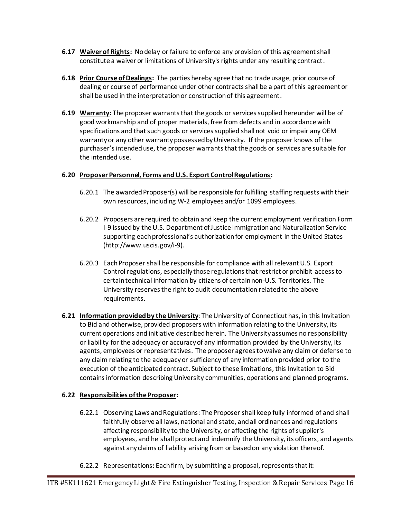- **6.17 Waiver of Rights:** No delay or failure to enforce any provision of this agreement shall constitute a waiver or limitations of University's rights under any resulting contract.
- **6.18 Prior Course of Dealings:** The parties hereby agree that no trade usage, prior course of dealing or course of performance under other contracts shall be a part of this agreement or shall be used in the interpretation or construction of this agreement.
- **6.19 Warranty:** The proposer warrants that the goods or services supplied hereunder will be of good workmanship and of proper materials, free from defects and in accordance with specifications and that such goods or services supplied shall not void or impair any OEM warranty or any other warranty possessed by University. If the proposer knows of the purchaser's intended use, the proposer warrants that the goods or services are suitable for the intended use.

# **6.20 Proposer Personnel, Forms and U.S. Export Control Regulations:**

- 6.20.1 The awarded Proposer(s) will be responsible for fulfilling staffing requests with their own resources, including W-2 employees and/or 1099 employees.
- 6.20.2 Proposers are required to obtain and keep the current employment verification Form I-9 issued by the U.S. Department of Justice Immigration and Naturalization Service supporting each professional's authorization for employment in the United States [\(http://www.uscis.gov/i-9\)](http://www.uscis.gov/i-9).
- 6.20.3 Each Proposer shall be responsible for compliance with all relevant U.S. Export Control regulations, especially those regulations that restrict or prohibit access to certain technical information by citizens of certain non-U.S. Territories. The University reserves the right to audit documentation related to the above requirements.
- **6.21 Information providedby the University**: The University of Connecticut has, in this Invitation to Bid and otherwise, provided proposers with information relating to the University, its current operations and initiative described herein. The University assumes no responsibility or liability for the adequacy or accuracy of any information provided by the University, its agents, employees or representatives. The proposer agrees to waive any claim or defense to any claim relating to the adequacy or sufficiency of any information provided prior to the execution of the anticipated contract. Subject to these limitations, this Invitation to Bid contains information describing University communities, operations and planned programs.

### **6.22 Responsibilities of the Proposer:**

- 6.22.1 Observing Laws and Regulations: The Proposer shall keep fully informed of and shall faithfully observe all laws, national and state, and all ordinances and regulations affecting responsibility to the University, or affecting the rights of supplier's employees, and he shall protect and indemnify the University, its officers, and agents against any claims of liability arising from or based on any violation thereof.
- 6.22.2 Representations**:** Each firm, by submitting a proposal, represents that it: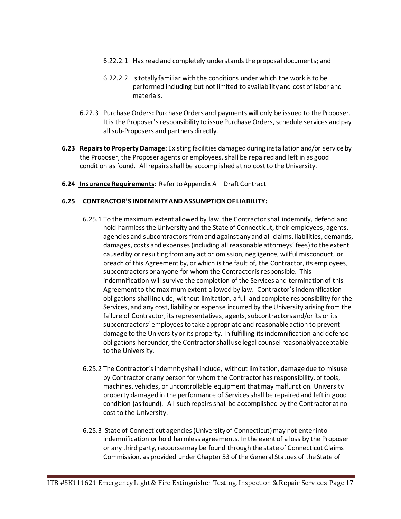- 6.22.2.1 Has read and completely understands the proposal documents; and
- 6.22.2.2 Is totally familiar with the conditions under which the work is to be performed including but not limited to availability and cost of labor and materials.
- 6.22.3 Purchase Orders**:** Purchase Orders and payments will only be issued to the Proposer. It is the Proposer's responsibility to issue Purchase Orders, schedule services and pay all sub-Proposers and partners directly.
- **6.23 Repairs to Property Damage**: Existing facilities damaged during installation and/or service by the Proposer, the Proposer agents or employees, shall be repaired and left in as good condition as found. All repairs shall be accomplished at no cost to the University.
- **6.24 Insurance Requirements**: Refer to Appendix A Draft Contract

#### **6.25 CONTRACTOR'S INDEMNITY AND ASSUMPTION OF LIABILITY:**

- 6.25.1 To the maximum extent allowed by law, the Contractor shall indemnify, defend and hold harmless the University and the State of Connecticut, their employees, agents, agencies and subcontractors from and against any and all claims, liabilities, demands, damages, costs and expenses (including all reasonable attorneys' fees) to the extent caused by or resulting from any act or omission, negligence, willful misconduct, or breach of this Agreement by, or which is the fault of, the Contractor, its employees, subcontractors or anyone for whom the Contractor is responsible. This indemnification will survive the completion of the Services and termination of this Agreement to the maximum extent allowed by law. Contractor's indemnification obligations shall include, without limitation, a full and complete responsibility for the Services, and any cost, liability or expense incurred by the University arising from the failure of Contractor, its representatives, agents, subcontractors and/or its or its subcontractors' employees to take appropriate and reasonable action to prevent damage to the University or its property. In fulfilling its indemnification and defense obligations hereunder, the Contractor shall use legal counsel reasonably acceptable to the University.
- 6.25.2 The Contractor's indemnity shall include, without limitation, damage due to misuse by Contractor or any person for whom the Contractor has responsibility, of tools, machines, vehicles, or uncontrollable equipment that may malfunction. University property damaged in the performance of Services shall be repaired and left in good condition (as found). All such repairs shall be accomplished by the Contractor at no cost to the University.
- 6.25.3 State of Connecticut agencies (University of Connecticut) may not enter into indemnification or hold harmless agreements. In the event of a loss by the Proposer or any third party, recourse may be found through the state of Connecticut Claims Commission, as provided under Chapter 53 of the General Statues of the State of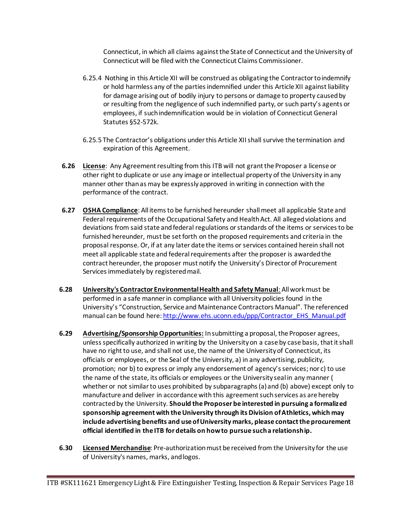Connecticut, in which all claims against the State of Connecticut and the University of Connecticut will be filed with the Connecticut Claims Commissioner.

- 6.25.4 Nothing in this Article XII will be construed as obligating the Contractor to indemnify or hold harmless any of the parties indemnified under this Article XII against liability for damage arising out of bodily injury to persons or damage to property caused by or resulting from the negligence of such indemnified party, or such party's agents or employees, if such indemnification would be in violation of Connecticut General Statutes §52-572k.
- 6.25.5 The Contractor's obligations under this Article XII shall survive the termination and expiration of this Agreement.
- **6.26 License**: Any Agreement resulting from this ITB will not grant the Proposer a license or other right to duplicate or use any image or intellectual property of the University in any manner other than as may be expressly approved in writing in connection with the performance of the contract.
- **6.27 OSHA Compliance**: All items to be furnished hereunder shall meet all applicable State and Federal requirements of the Occupational Safety and Health Act. All alleged violations and deviations from said state and federal regulations or standards of the items or services to be furnished hereunder, must be set forth on the proposed requirements and criteria in the proposal response. Or, if at any later date the items or services contained herein shall not meet all applicable state and federal requirements after the proposer is awarded the contract hereunder, the proposer must notify the University's Director of Procurement Services immediately by registered mail.
- **6.28 University's Contractor Environmental Health and Safety Manual**: Allwork must be performed in a safe manner in compliance with all University policies found in the University's "Construction, Service and Maintenance Contractors Manual". The referenced manual can be found here[: http://www.ehs.uconn.edu/ppp/Contractor\\_EHS\\_Manual.pdf](https://nam01.safelinks.protection.outlook.com/?url=http%3A%2F%2Fwww.ehs.uconn.edu%2Fppp%2FContractor_EHS_Manual.pdf&data=02%7C01%7Cshamona.kamm%40uconn.edu%7C4bddb3535f47496b378408d767ad3100%7C17f1a87e2a254eaab9df9d439034b080%7C0%7C0%7C637091865851154946&sdata=EPgrAnHFImz%2BAbNxgNkI%2BEHRMX8mkxQDpVV3zoKUP%2Bo%3D&reserved=0)
- **6.29 Advertising/Sponsorship Opportunities:** In submitting a proposal, the Proposer agrees, unless specifically authorized in writing by the University on a case by case basis, that it shall have no right to use, and shall not use, the name of the University of Connecticut, its officials or employees, or the Seal of the University, a) in any advertising, publicity, promotion; nor b) to express or imply any endorsement of agency's services; nor c) to use the name of the state, its officials or employees or the University seal in any manner ( whether or not similar to uses prohibited by subparagraphs (a) and (b) above) except only to manufacture and deliver in accordance with this agreement such services as are hereby contracted by the University. **Should the Proposer be interested in pursuing a formalized sponsorship agreement with the University through its Division of Athletics, which may include advertising benefits and use of University marks, please contact the procurement official identified in the ITB for details on how to pursue such a relationship.**
- **6.30 Licensed Merchandise**: Pre-authorization must be received from the University for the use of University's names, marks, and logos.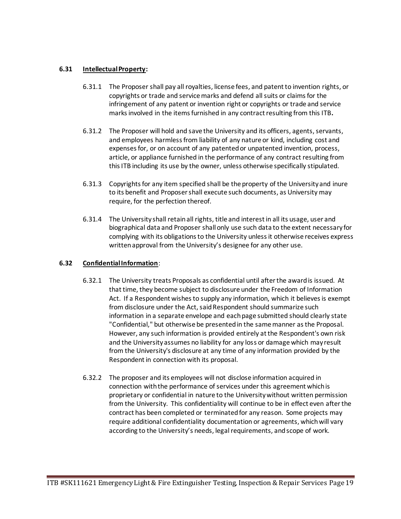#### **6.31 Intellectual Property:**

- 6.31.1 The Proposer shall pay all royalties, license fees, and patent to invention rights, or copyrights or trade and service marks and defend all suits or claims for the infringement of any patent or invention right or copyrights or trade and service marks involved in the items furnished in any contract resulting from this ITB**.**
- 6.31.2 The Proposer will hold and save the University and its officers, agents, servants, and employees harmless from liability of any nature or kind, including cost and expenses for, or on account of any patented or unpatented invention, process, article, or appliance furnished in the performance of any contract resulting from this ITB including its use by the owner, unless otherwise specifically stipulated.
- 6.31.3 Copyrights for any item specified shall be the property of the University and inure to its benefit and Proposer shall execute such documents, as University may require, for the perfection thereof.
- 6.31.4 The University shall retain all rights, title and interest in all its usage, user and biographical data and Proposer shall only use such data to the extent necessary for complying with its obligations to the University unless it otherwise receives express written approval from the University's designee for any other use.

#### **6.32 Confidential Information**:

- 6.32.1 The University treats Proposals as confidential until after the award is issued. At that time, they become subject to disclosure under the Freedom of Information Act. If a Respondent wishes to supply any information, which it believes is exempt from disclosure under the Act, said Respondent should summarize such information in a separate envelope and each page submitted should clearly state "Confidential," but otherwise be presented in the same manner as the Proposal. However, any such information is provided entirely at the Respondent's own risk and the University assumes no liability for any loss or damage which may result from the University's disclosure at any time of any information provided by the Respondent in connection with its proposal.
- 6.32.2 The proposer and its employees will not disclose information acquired in connection with the performance of services under this agreement which is proprietary or confidential in nature to the University without written permission from the University. This confidentiality will continue to be in effect even after the contract has been completed or terminated for any reason. Some projects may require additional confidentiality documentation or agreements, which will vary according to the University's needs, legal requirements, and scope of work.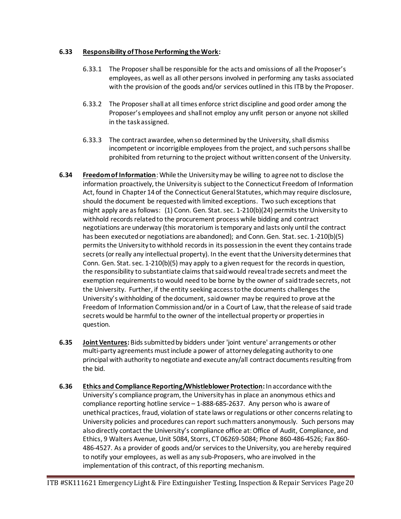### **6.33 Responsibility of Those Performing the Work:**

- 6.33.1 The Proposer shall be responsible for the acts and omissions of all the Proposer's employees, as well as all other persons involved in performing any tasks associated with the provision of the goods and/or services outlined in this ITB by the Proposer.
- 6.33.2 The Proposer shall at all times enforce strict discipline and good order among the Proposer's employees and shall not employ any unfit person or anyone not skilled in the task assigned.
- 6.33.3 The contract awardee, when so determined by the University, shall dismiss incompetent or incorrigible employees from the project, and such persons shall be prohibited from returning to the project without written consent of the University.
- **6.34 Freedom of Information**: While the University may be willing to agree not to disclose the information proactively, the University is subject to the Connecticut Freedom of Information Act, found in Chapter 14 of the Connecticut General Statutes, which may require disclosure, should the document be requested with limited exceptions. Two such exceptions that might apply are as follows: (1) Conn. Gen. Stat. sec. 1-210(b)(24) permits the University to withhold records related to the procurement process while bidding and contract negotiations are underway (this moratorium is temporary and lasts only until the contract has been executed or negotiations are abandoned); and Conn. Gen. Stat. sec. 1-210(b)(5) permits the University to withhold records in its possession in the event they contains trade secrets (or really any intellectual property). In the event that the University determines that Conn. Gen. Stat. sec. 1-210(b)(5) may apply to a given request for the records in question, the responsibility to substantiate claims that said would reveal trade secrets and meet the exemption requirements to would need to be borne by the owner of said trade secrets, not the University. Further, if the entity seeking access to the documents challenges the University's withholding of the document, said owner may be required to prove at the Freedom of Information Commission and/or in a Court of Law, that the release of said trade secrets would be harmful to the owner of the intellectual property or properties in question.
- **6.35 Joint Ventures:** Bids submitted by bidders under 'joint venture' arrangements or other multi-party agreements must include a power of attorney delegating authority to one principal with authority to negotiate and execute any/all contract documents resulting from the bid.
- **6.36 Ethics and Compliance Reporting/Whistleblower Protection:** In accordance with the University's compliance program, the University has in place an anonymous ethics and compliance reporting hotline service – 1-888-685-2637. Any person who is aware of unethical practices, fraud, violation of state laws or regulations or other concerns relating to University policies and procedures can report such matters anonymously. Such persons may also directly contact the University's compliance office at: Office of Audit, Compliance, and Ethics, 9 Walters Avenue, Unit 5084, Storrs, CT 06269-5084; Phone 860-486-4526; Fax 860- 486-4527. As a provider of goods and/or services to the University, you are hereby required to notify your employees, as well as any sub-Proposers, who are involved in the implementation of this contract, of this reporting mechanism.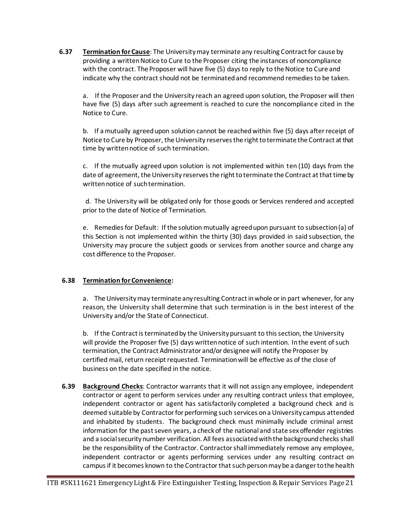**6.37 Termination for Cause**: The Universitymay terminate any resulting Contract for cause by providing a written Notice to Cure to the Proposer citing the instances of noncompliance with the contract. The Proposer will have five (5) days to reply to the Notice to Cure and indicate why the contract should not be terminated and recommend remedies to be taken.

a. If the Proposer and the University reach an agreed upon solution, the Proposer will then have five (5) days after such agreement is reached to cure the noncompliance cited in the Notice to Cure.

b. If a mutually agreed upon solution cannot be reached within five (5) days after receipt of Notice to Cure by Proposer, the University reserves the right to terminate the Contract at that time by written notice of such termination.

c. If the mutually agreed upon solution is not implemented within ten (10) days from the date of agreement, the University reserves the right to terminate the Contract at that time by written notice of such termination.

d. The University will be obligated only for those goods or Services rendered and accepted prior to the date of Notice of Termination.

e. Remedies for Default: If the solution mutually agreed upon pursuant to subsection (a) of this Section is not implemented within the thirty (30) days provided in said subsection, the University may procure the subject goods or services from another source and charge any cost difference to the Proposer.

### **6.38 Termination for Convenience:**

a. The University may terminate any resulting Contract in whole or in part whenever, for any reason, the University shall determine that such termination is in the best interest of the University and/or the State of Connecticut.

b. If the Contract is terminated by the University pursuant to this section, the University will provide the Proposer five (5) days written notice of such intention. In the event of such termination, the Contract Administrator and/or designee will notify the Proposer by certified mail, return receipt requested. Termination will be effective as of the close of business on the date specified in the notice.

**6.39 Background Checks**: Contractor warrants that it will not assign any employee, independent contractor or agent to perform services under any resulting contract unless that employee, independent contractor or agent has satisfactorily completed a background check and is deemed suitable by Contractorfor performing such services on a University campus attended and inhabited by students. The background check must minimally include criminal arrest information for the past seven years, a check of the national and state sex offender registries and a social security number verification. All fees associated with the background checks shall be the responsibility of the Contractor. Contractor shall immediately remove any employee, independent contractor or agents performing services under any resulting contract on campus if it becomes known to the Contractorthat such person may be a danger to the health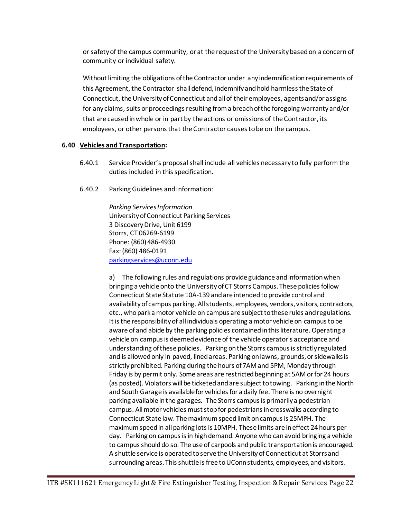or safety of the campus community, or at the request of the University based on a concern of community or individual safety.

Without limiting the obligations of the Contractor under any indemnification requirements of this Agreement, the Contractor shall defend, indemnify and hold harmless the State of Connecticut, the University of Connecticut and all of their employees, agents and/or assigns for any claims, suits or proceedings resulting from a breach of the foregoing warranty and/or that are caused in whole or in part by the actions or omissions of the Contractor, its employees, or other persons that the Contractor causes to be on the campus.

#### **6.40 Vehicles and Transportation:**

- 6.40.1 Service Provider's proposal shall include all vehicles necessary to fully perform the duties included in this specification.
- 6.40.2 Parking Guidelines and Information:

*Parking Services Information*  University of Connecticut Parking Services 3 Discovery Drive, Unit 6199 Storrs, CT 06269-6199 Phone: (860) 486-4930 Fax: (860) 486-0191 [parkingservices@uconn.edu](mailto:parkingservices@uconn.edu)

a) The following rules and regulations provide guidance and information when bringing a vehicle onto the University of CT Storrs Campus. These policies follow Connecticut State Statute 10A-139 and are intended to provide control and availability of campus parking. All students, employees, vendors, visitors, contractors, etc., who park a motor vehicle on campus are subject to these rules and regulations. It is the responsibility of all individuals operating a motor vehicle on campus to be aware of and abide by the parking policies contained in this literature. Operating a vehicle on campus is deemed evidence of the vehicle operator's acceptance and understanding of these policies. Parking on the Storrs campus is strictly regulated and is allowed only in paved, lined areas. Parking on lawns, grounds, or sidewalks is strictly prohibited. Parking during the hours of 7AM and 5PM, Monday through Friday is by permit only. Some areas are restricted beginning at 5AM or for 24 hours (as posted). Violators will be ticketed and are subject to towing. Parking in the North and South Garage is available for vehicles for a daily fee. There is no overnight parking available in the garages. The Storrs campus is primarily a pedestrian campus. All motor vehicles must stop for pedestrians in crosswalks according to Connecticut State law. The maximum speed limit on campus is 25MPH. The maximum speed in all parking lots is 10MPH. These limits are in effect 24 hours per day. Parking on campus is in high demand. Anyone who can avoid bringing a vehicle to campus should do so. The use of carpools and public transportation is encouraged. A shuttle service is operated to serve the University of Connecticut at Storrs and surrounding areas. This shuttle is free to UConn students, employees, and visitors.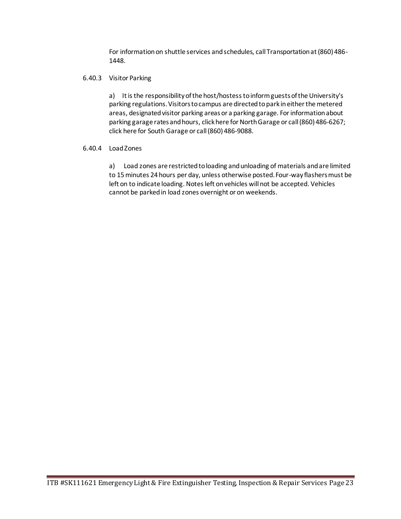For information on shuttle services and schedules, call Transportation at (860) 486- 1448.

#### 6.40.3 Visitor Parking

a) It is the responsibility of the host/hostess to inform guests of the University's parking regulations. Visitors to campus are directed to park in either the metered areas, designated visitor parking areas or a parking garage. For information about parking garage rates and hours[, click here for North Garage](http://www.park.uconn.edu/ngarage.htm) or call (860) 486-6267; [click here for South Garage](http://www.park.uconn.edu/sgarage.htm) or call (860) 486-9088.

#### 6.40.4 Load Zones

a) Load zones are restricted to loading and unloading of materials and are limited to 15 minutes 24 hours per day, unless otherwise posted. Four-way flashers must be left on to indicate loading. Notes left on vehicles will not be accepted. Vehicles cannot be parked in load zones overnight or on weekends.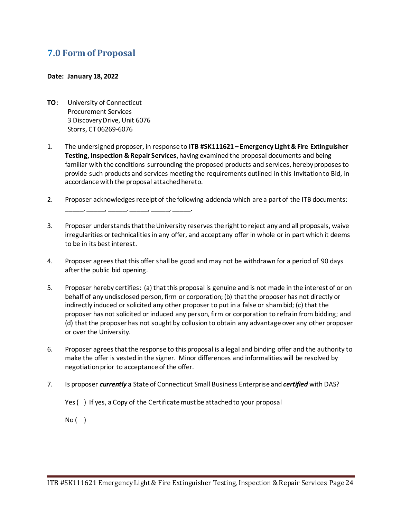# **7.0 Form of Proposal**

#### **Date: January 18, 2022**

- **TO:** University of Connecticut Procurement Services 3 Discovery Drive, Unit 6076 Storrs, CT 06269-6076
- 1. The undersigned proposer, in response to **ITB #SK111621 – Emergency Light & Fire Extinguisher Testing, Inspection & Repair Services**, having examined the proposal documents and being familiar with the conditions surrounding the proposed products and services, hereby proposes to provide such products and services meeting the requirements outlined in this Invitation to Bid, in accordance with the proposal attached hereto.
- 2. Proposer acknowledges receipt of the following addenda which are a part of the ITB documents: \_\_\_\_\_, \_\_\_\_\_, \_\_\_\_\_, \_\_\_\_\_, \_\_\_\_\_, \_\_\_\_\_.
- 3. Proposer understands that the University reserves the right to reject any and all proposals, waive irregularities or technicalities in any offer, and accept any offer in whole or in part which it deems to be in its best interest.
- 4. Proposer agrees that this offer shall be good and may not be withdrawn for a period of 90 days after the public bid opening.
- 5. Proposer hereby certifies: (a) that this proposal is genuine and is not made in the interest of or on behalf of any undisclosed person, firm or corporation; (b) that the proposer has not directly or indirectly induced or solicited any other proposer to put in a false or sham bid; (c) that the proposer has not solicited or induced any person, firm or corporation to refrain from bidding; and (d) that the proposer has not sought by collusion to obtain any advantage over any other proposer or over the University.
- 6. Proposer agrees that the response to this proposal is a legal and binding offer and the authority to make the offer is vested in the signer. Minor differences and informalities will be resolved by negotiation prior to acceptance of the offer.
- 7. Is proposer *currently* a State of Connecticut Small Business Enterprise and *certified* with DAS?
	- Yes ( ) If yes, a Copy of the Certificate must be attached to your proposal

No ( )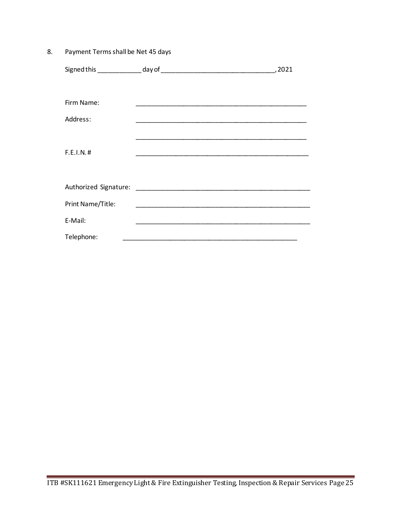Payment Terms shall be Net 45 days 8.

|                   |                                                                                                                       | ,2021 |
|-------------------|-----------------------------------------------------------------------------------------------------------------------|-------|
|                   |                                                                                                                       |       |
| Firm Name:        |                                                                                                                       |       |
| Address:          |                                                                                                                       |       |
|                   |                                                                                                                       |       |
| F.E.I.N. #        |                                                                                                                       |       |
|                   |                                                                                                                       |       |
|                   |                                                                                                                       |       |
| Print Name/Title: |                                                                                                                       |       |
| E-Mail:           | <u> 1990 - Johann John Stone, markin film yn y brening yn y brening yn y brening yn y brening yn y brening yn y b</u> |       |
| Telephone:        |                                                                                                                       |       |